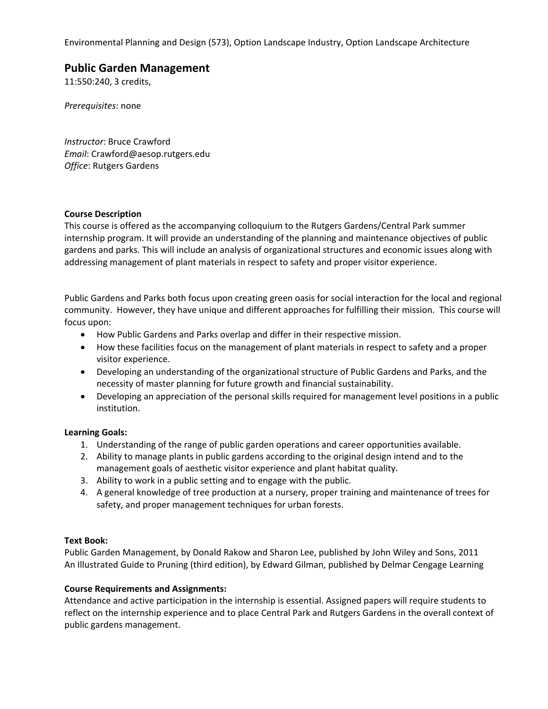Environmental Planning and Design (573), Option Landscape Industry, Option Landscape Architecture

# **Public Garden Management**

11:550:240, 3 credits,

*Prerequisites*: none

*Instructor*: Bruce Crawford *Email*: Crawford@aesop.rutgers.edu *Office*: Rutgers Gardens

## **Course Description**

This course is offered as the accompanying colloquium to the Rutgers Gardens/Central Park summer internship program. It will provide an understanding of the planning and maintenance objectives of public gardens and parks. This will include an analysis of organizational structures and economic issues along with addressing management of plant materials in respect to safety and proper visitor experience.

Public Gardens and Parks both focus upon creating green oasis for social interaction for the local and regional community. However, they have unique and different approaches for fulfilling their mission. This course will focus upon:

- How Public Gardens and Parks overlap and differ in their respective mission.
- How these facilities focus on the management of plant materials in respect to safety and a proper visitor experience.
- Developing an understanding of the organizational structure of Public Gardens and Parks, and the necessity of master planning for future growth and financial sustainability.
- Developing an appreciation of the personal skills required for management level positions in a public institution.

# **Learning Goals:**

- 1. Understanding of the range of public garden operations and career opportunities available.
- 2. Ability to manage plants in public gardens according to the original design intend and to the management goals of aesthetic visitor experience and plant habitat quality.
- 3. Ability to work in a public setting and to engage with the public.
- 4. A general knowledge of tree production at a nursery, proper training and maintenance of trees for safety, and proper management techniques for urban forests.

# **Text Book:**

Public Garden Management, by Donald Rakow and Sharon Lee, published by John Wiley and Sons, 2011 An Illustrated Guide to Pruning (third edition), by Edward Gilman, published by Delmar Cengage Learning

# **Course Requirements and Assignments:**

Attendance and active participation in the internship is essential. Assigned papers will require students to reflect on the internship experience and to place Central Park and Rutgers Gardens in the overall context of public gardens management.